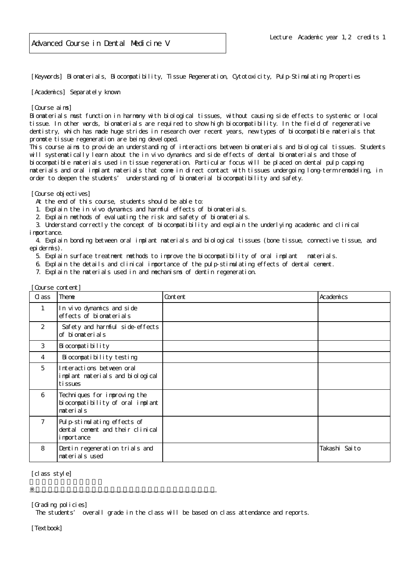[Keywords] Biomaterials, Biocompatibility, Tissue Regeneration, Cytotoxicity, Pulp-Stimulating Properties

[Academics] Separately known

## [Course aims]

Biomaterials must function in harmony with biological tissues, without causing side effects to systemic or local tissue. In other words, biomaterials are required to show high biocompatibility. In the field of regenerative dentistry, which has made huge strides in research over recent years, new types of biocompatible materials that promote tissue regeneration are being developed.

This course aims to provide an understanding of interactions between biomaterials and biological tissues. Students will systematically learn about the in vivo dynamics and side effects of dental biomaterials and those of biocompatible materials used in tissue regeneration. Particular focus will be placed on dental pulp capping materials and oral implant materials that come in direct contact with tissues undergoing long-term remodeling, in order to deepen the students' understanding of biomaterial biocompatibility and safety.

[Course objectives]

- At the end of this course, students should be able to:
- 1. Explain the in vivo dynamics and harmful effects of biomaterials.
- 2. Explain methods of evaluating the risk and safety of biomaterials.
- 3. Understand correctly the concept of biocompatibility and explain the underlying academic and clinical i mportance.

 4. Explain bonding between oral implant materials and biological tissues (bone tissue, connective tissue, and epidermis).

- 5. Explain surface treatment methods to improve the biocompatibility of oral implant materials.
- 6. Explain the details and clinical importance of the pulp-stimulating effects of dental cement.
- 7. Explain the materials used in and mechanisms of dentin regeneration.

| [Course content] |                                                                                |         |               |
|------------------|--------------------------------------------------------------------------------|---------|---------------|
| C ass            | Theme                                                                          | Content | Academics     |
| $\mathbf{1}$     | In vivo dynamics and side<br>effects of biomaterials                           |         |               |
| 2                | Safety and harmful side-effects<br>of biomaterials                             |         |               |
| 3                | Bi ocompati bility                                                             |         |               |
| 4                | Bi ocompati bility testing                                                     |         |               |
| 5                | Interactions between oral<br>implant materials and biological<br>ti ssues      |         |               |
| 6                | Techniques for improving the<br>biocompatibility of oral implant<br>materials  |         |               |
| $\overline{7}$   | Pulp-stimulating effects of<br>dental cenent and their clinical<br>i mportance |         |               |
| 8                | Dentin regeneration trials and<br>materials used                               |         | Takashi Saito |

[class style]

[Grading policies]

The students' overall grade in the class will be based on class attendance and reports.

※授業実施形態は、各学部(研究科)、学校の授業実施方針による

[Textbook]